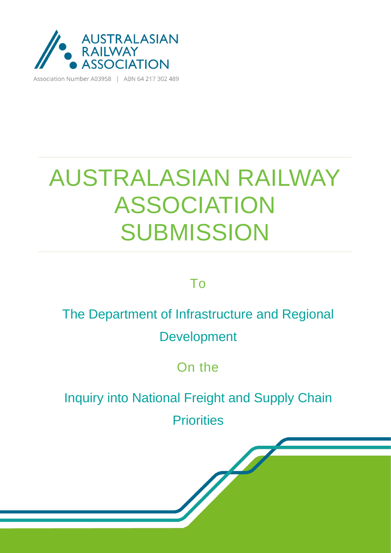

Association Number A03958 | ABN 64 217 302 489

# AUSTRALASIAN RAILWAY ASSOCIATION **SUBMISSION**

### To

### The Department of Infrastructure and Regional Development

On the

Inquiry into National Freight and Supply Chain

**Priorities**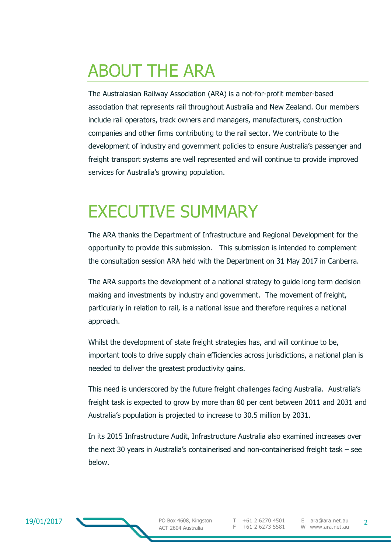## ABOUT THE ARA

The Australasian Railway Association (ARA) is a not-for-profit member-based association that represents rail throughout Australia and New Zealand. Our members include rail operators, track owners and managers, manufacturers, construction companies and other firms contributing to the rail sector. We contribute to the development of industry and government policies to ensure Australia's passenger and freight transport systems are well represented and will continue to provide improved services for Australia's growing population.

### EXECUTIVE SUMMARY

The ARA thanks the Department of Infrastructure and Regional Development for the opportunity to provide this submission. This submission is intended to complement the consultation session ARA held with the Department on 31 May 2017 in Canberra.

The ARA supports the development of a national strategy to guide long term decision making and investments by industry and government. The movement of freight, particularly in relation to rail, is a national issue and therefore requires a national approach.

Whilst the development of state freight strategies has, and will continue to be, important tools to drive supply chain efficiencies across jurisdictions, a national plan is needed to deliver the greatest productivity gains.

This need is underscored by the future freight challenges facing Australia. Australia's freight task is expected to grow by more than 80 per cent between 2011 and 2031 and Australia's population is projected to increase to 30.5 million by 2031.

In its 2015 Infrastructure Audit, Infrastructure Australia also examined increases over the next 30 years in Australia's containerised and non-containerised freight task – see below.

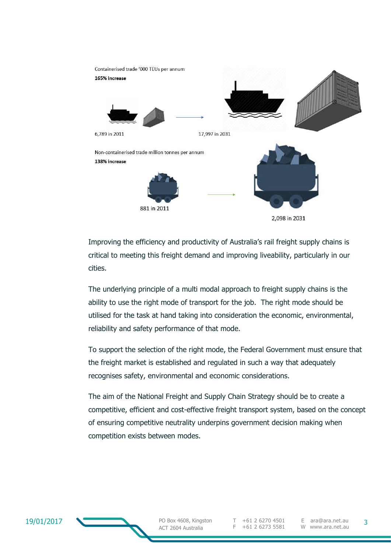

Improving the efficiency and productivity of Australia's rail freight supply chains is critical to meeting this freight demand and improving liveability, particularly in our cities.

The underlying principle of a multi modal approach to freight supply chains is the ability to use the right mode of transport for the job. The right mode should be utilised for the task at hand taking into consideration the economic, environmental, reliability and safety performance of that mode.

To support the selection of the right mode, the Federal Government must ensure that the freight market is established and regulated in such a way that adequately recognises safety, environmental and economic considerations.

The aim of the National Freight and Supply Chain Strategy should be to create a competitive, efficient and cost-effective freight transport system, based on the concept of ensuring competitive neutrality underpins government decision making when competition exists between modes.



PO Box 4608, Kingston ACT 2604 Australia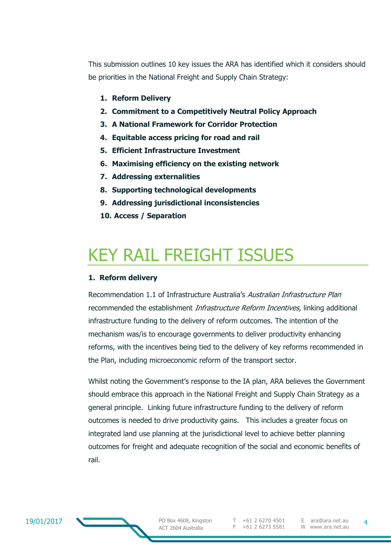This submission outlines 10 key issues the ARA has identified which it considers should be priorities in the National Freight and Supply Chain Strategy:

- **1. Reform Delivery**
- **2. Commitment to a Competitively Neutral Policy Approach**
- **3. A National Framework for Corridor Protection**
- **4. Equitable access pricing for road and rail**
- **5. Efficient Infrastructure Investment**
- **6. Maximising efficiency on the existing network**
- **7. Addressing externalities**
- **8. Supporting technological developments**
- **9. Addressing jurisdictional inconsistencies**
- **10. Access / Separation**

### KEY RAIL FREIGHT ISSUES

#### **1. Reform delivery**

Recommendation 1.1 of Infrastructure Australia's Australian Infrastructure Plan recommended the establishment *Infrastructure Reform Incentives*, linking additional infrastructure funding to the delivery of reform outcomes. The intention of the mechanism was/is to encourage governments to deliver productivity enhancing reforms, with the incentives being tied to the delivery of key reforms recommended in the Plan, including microeconomic reform of the transport sector.

Whilst noting the Government's response to the IA plan, ARA believes the Government should embrace this approach in the National Freight and Supply Chain Strategy as a general principle. Linking future infrastructure funding to the delivery of reform outcomes is needed to drive productivity gains. This includes a greater focus on integrated land use planning at the jurisdictional level to achieve better planning outcomes for freight and adequate recognition of the social and economic benefits of rail.

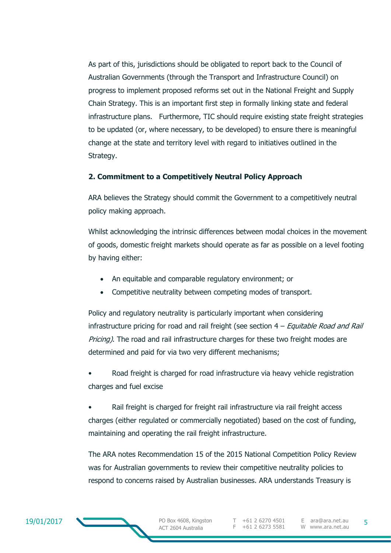As part of this, jurisdictions should be obligated to report back to the Council of Australian Governments (through the Transport and Infrastructure Council) on progress to implement proposed reforms set out in the National Freight and Supply Chain Strategy. This is an important first step in formally linking state and federal infrastructure plans. Furthermore, TIC should require existing state freight strategies to be updated (or, where necessary, to be developed) to ensure there is meaningful change at the state and territory level with regard to initiatives outlined in the Strategy.

#### **2. Commitment to a Competitively Neutral Policy Approach**

ARA believes the Strategy should commit the Government to a competitively neutral policy making approach.

Whilst acknowledging the intrinsic differences between modal choices in the movement of goods, domestic freight markets should operate as far as possible on a level footing by having either:

- An equitable and comparable regulatory environment; or
- Competitive neutrality between competing modes of transport.

Policy and regulatory neutrality is particularly important when considering infrastructure pricing for road and rail freight (see section  $4$  – Equitable Road and Rail Pricing). The road and rail infrastructure charges for these two freight modes are determined and paid for via two very different mechanisms;

• Road freight is charged for road infrastructure via heavy vehicle registration charges and fuel excise

Rail freight is charged for freight rail infrastructure via rail freight access charges (either regulated or commercially negotiated) based on the cost of funding, maintaining and operating the rail freight infrastructure.

The ARA notes Recommendation 15 of the 2015 National Competition Policy Review was for Australian governments to review their competitive neutrality policies to respond to concerns raised by Australian businesses. ARA understands Treasury is

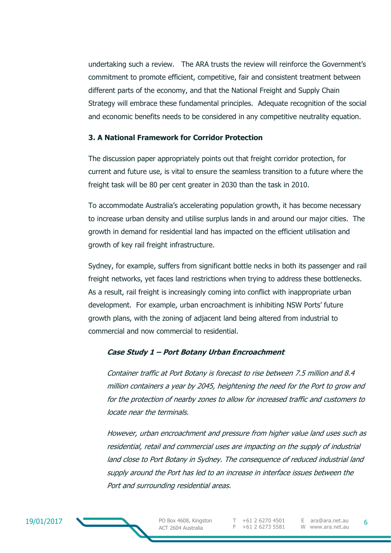undertaking such a review. The ARA trusts the review will reinforce the Government's commitment to promote efficient, competitive, fair and consistent treatment between different parts of the economy, and that the National Freight and Supply Chain Strategy will embrace these fundamental principles. Adequate recognition of the social and economic benefits needs to be considered in any competitive neutrality equation.

#### **3. A National Framework for Corridor Protection**

The discussion paper appropriately points out that freight corridor protection, for current and future use, is vital to ensure the seamless transition to a future where the freight task will be 80 per cent greater in 2030 than the task in 2010.

To accommodate Australia's accelerating population growth, it has become necessary to increase urban density and utilise surplus lands in and around our major cities. The growth in demand for residential land has impacted on the efficient utilisation and growth of key rail freight infrastructure.

Sydney, for example, suffers from significant bottle necks in both its passenger and rail freight networks, yet faces land restrictions when trying to address these bottlenecks. As a result, rail freight is increasingly coming into conflict with inappropriate urban development. For example, urban encroachment is inhibiting NSW Ports' future growth plans, with the zoning of adjacent land being altered from industrial to commercial and now commercial to residential.

#### **Case Study 1 – Port Botany Urban Encroachment**

Container traffic at Port Botany is forecast to rise between 7.5 million and 8.4 million containers a year by 2045, heightening the need for the Port to grow and for the protection of nearby zones to allow for increased traffic and customers to locate near the terminals.

However, urban encroachment and pressure from higher value land uses such as residential, retail and commercial uses are impacting on the supply of industrial land close to Port Botany in Sydney. The consequence of reduced industrial land supply around the Port has led to an increase in interface issues between the Port and surrounding residential areas.

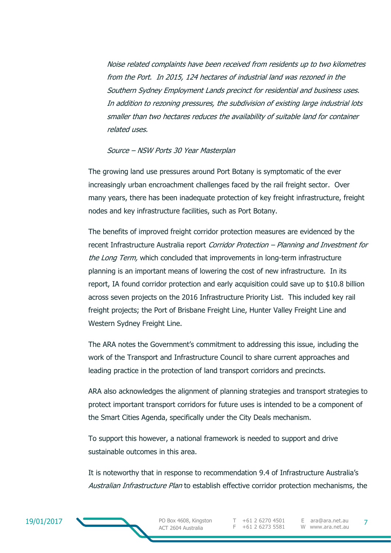Noise related complaints have been received from residents up to two kilometres from the Port. In 2015, 124 hectares of industrial land was rezoned in the Southern Sydney Employment Lands precinct for residential and business uses. In addition to rezoning pressures, the subdivision of existing large industrial lots smaller than two hectares reduces the availability of suitable land for container related uses.

#### Source – NSW Ports 30 Year Masterplan

The growing land use pressures around Port Botany is symptomatic of the ever increasingly urban encroachment challenges faced by the rail freight sector. Over many years, there has been inadequate protection of key freight infrastructure, freight nodes and key infrastructure facilities, such as Port Botany.

The benefits of improved freight corridor protection measures are evidenced by the recent Infrastructure Australia report Corridor Protection – Planning and Investment for the Long Term, which concluded that improvements in long-term infrastructure planning is an important means of lowering the cost of new infrastructure. In its report, IA found corridor protection and early acquisition could save up to \$10.8 billion across seven projects on the 2016 Infrastructure Priority List. This included key rail freight projects; the Port of Brisbane Freight Line, Hunter Valley Freight Line and Western Sydney Freight Line.

The ARA notes the Government's commitment to addressing this issue, including the work of the Transport and Infrastructure Council to share current approaches and leading practice in the protection of land transport corridors and precincts.

ARA also acknowledges the alignment of planning strategies and transport strategies to protect important transport corridors for future uses is intended to be a component of the Smart Cities Agenda, specifically under the City Deals mechanism.

To support this however, a national framework is needed to support and drive sustainable outcomes in this area.

It is noteworthy that in response to recommendation 9.4 of Infrastructure Australia's Australian Infrastructure Plan to establish effective corridor protection mechanisms, the



PO Box 4608, Kingston ACT 2604 Australia

T +61 2 6270 4501 F +61 2 6273 5581

E ara@ara.net.au W www.ara.net.au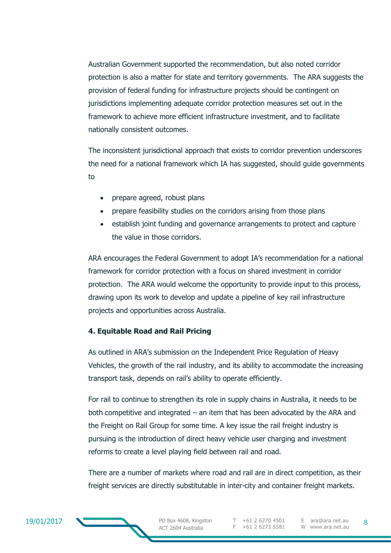Australian Government supported the recommendation, but also noted corridor protection is also a matter for state and territory governments. The ARA suggests the provision of federal funding for infrastructure projects should be contingent on jurisdictions implementing adequate corridor protection measures set out in the framework to achieve more efficient infrastructure investment, and to facilitate nationally consistent outcomes.

The inconsistent jurisdictional approach that exists to corridor prevention underscores the need for a national framework which IA has suggested, should guide governments to

- prepare agreed, robust plans
- prepare feasibility studies on the corridors arising from those plans
- establish joint funding and governance arrangements to protect and capture the value in those corridors.

ARA encourages the Federal Government to adopt IA's recommendation for a national framework for corridor protection with a focus on shared investment in corridor protection. The ARA would welcome the opportunity to provide input to this process, drawing upon its work to develop and update a pipeline of key rail infrastructure projects and opportunities across Australia.

#### **4. Equitable Road and Rail Pricing**

As outlined in ARA's submission on the Independent Price Regulation of Heavy Vehicles, the growth of the rail industry, and its ability to accommodate the increasing transport task, depends on rail's ability to operate efficiently.

For rail to continue to strengthen its role in supply chains in Australia, it needs to be both competitive and integrated – an item that has been advocated by the ARA and the Freight on Rail Group for some time. A key issue the rail freight industry is pursuing is the introduction of direct heavy vehicle user charging and investment reforms to create a level playing field between rail and road.

There are a number of markets where road and rail are in direct competition, as their freight services are directly substitutable in inter-city and container freight markets.



T +61 2 6270 4501 F +61 2 6273 5581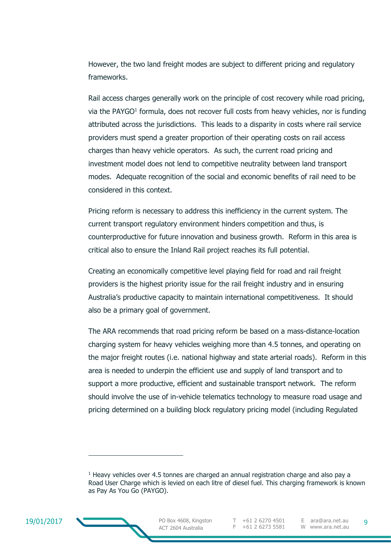However, the two land freight modes are subject to different pricing and regulatory frameworks.

Rail access charges generally work on the principle of cost recovery while road pricing, via the PAYGO<sup>1</sup> formula, does not recover full costs from heavy vehicles, nor is funding attributed across the jurisdictions. This leads to a disparity in costs where rail service providers must spend a greater proportion of their operating costs on rail access charges than heavy vehicle operators. As such, the current road pricing and investment model does not lend to competitive neutrality between land transport modes. Adequate recognition of the social and economic benefits of rail need to be considered in this context.

Pricing reform is necessary to address this inefficiency in the current system. The current transport regulatory environment hinders competition and thus, is counterproductive for future innovation and business growth. Reform in this area is critical also to ensure the Inland Rail project reaches its full potential.

Creating an economically competitive level playing field for road and rail freight providers is the highest priority issue for the rail freight industry and in ensuring Australia's productive capacity to maintain international competitiveness. It should also be a primary goal of government.

The ARA recommends that road pricing reform be based on a mass-distance-location charging system for heavy vehicles weighing more than 4.5 tonnes, and operating on the major freight routes (i.e. national highway and state arterial roads). Reform in this area is needed to underpin the efficient use and supply of land transport and to support a more productive, efficient and sustainable transport network. The reform should involve the use of in-vehicle telematics technology to measure road usage and pricing determined on a building block regulatory pricing model (including Regulated



-

<sup>&</sup>lt;sup>1</sup> Heavy vehicles over 4.5 tonnes are charged an annual registration charge and also pay a Road User Charge which is levied on each litre of diesel fuel. This charging framework is known as Pay As You Go (PAYGO).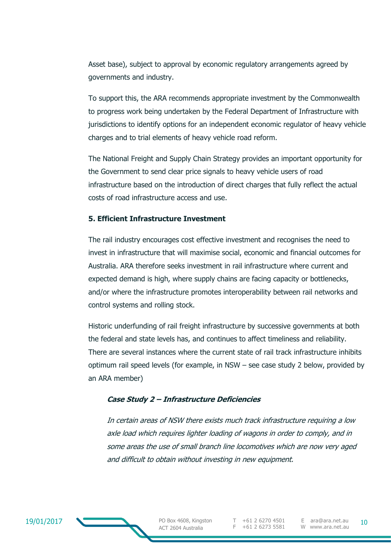Asset base), subject to approval by economic regulatory arrangements agreed by governments and industry.

To support this, the ARA recommends appropriate investment by the Commonwealth to progress work being undertaken by the Federal Department of Infrastructure with jurisdictions to identify options for an independent economic regulator of heavy vehicle charges and to trial elements of heavy vehicle road reform.

The National Freight and Supply Chain Strategy provides an important opportunity for the Government to send clear price signals to heavy vehicle users of road infrastructure based on the introduction of direct charges that fully reflect the actual costs of road infrastructure access and use.

#### **5. Efficient Infrastructure Investment**

The rail industry encourages cost effective investment and recognises the need to invest in infrastructure that will maximise social, economic and financial outcomes for Australia. ARA therefore seeks investment in rail infrastructure where current and expected demand is high, where supply chains are facing capacity or bottlenecks, and/or where the infrastructure promotes interoperability between rail networks and control systems and rolling stock.

Historic underfunding of rail freight infrastructure by successive governments at both the federal and state levels has, and continues to affect timeliness and reliability. There are several instances where the current state of rail track infrastructure inhibits optimum rail speed levels (for example, in NSW – see case study 2 below, provided by an ARA member)

#### **Case Study 2 – Infrastructure Deficiencies**

In certain areas of NSW there exists much track infrastructure requiring a low axle load which requires lighter loading of wagons in order to comply, and in some areas the use of small branch line locomotives which are now very aged and difficult to obtain without investing in new equipment.

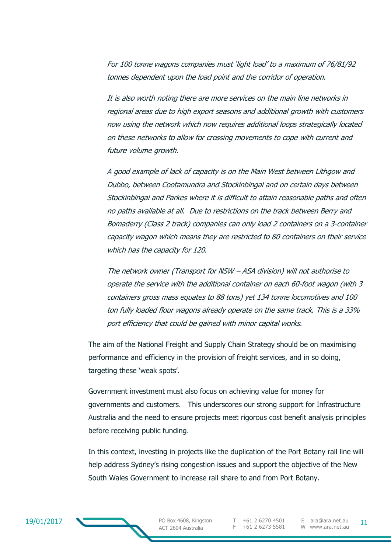For 100 tonne wagons companies must 'light load' to a maximum of 76/81/92 tonnes dependent upon the load point and the corridor of operation.

It is also worth noting there are more services on the main line networks in regional areas due to high export seasons and additional growth with customers now using the network which now requires additional loops strategically located on these networks to allow for crossing movements to cope with current and future volume growth.

A good example of lack of capacity is on the Main West between Lithgow and Dubbo, between Cootamundra and Stockinbingal and on certain days between Stockinbingal and Parkes where it is difficult to attain reasonable paths and often no paths available at all. Due to restrictions on the track between Berry and Bomaderry (Class 2 track) companies can only load 2 containers on a 3-container capacity wagon which means they are restricted to 80 containers on their service which has the capacity for 120.

The network owner (Transport for NSW – ASA division) will not authorise to operate the service with the additional container on each 60-foot wagon (with 3 containers gross mass equates to 88 tons) yet 134 tonne locomotives and 100 ton fully loaded flour wagons already operate on the same track. This is a 33% port efficiency that could be gained with minor capital works.

The aim of the National Freight and Supply Chain Strategy should be on maximising performance and efficiency in the provision of freight services, and in so doing, targeting these 'weak spots'.

Government investment must also focus on achieving value for money for governments and customers. This underscores our strong support for Infrastructure Australia and the need to ensure projects meet rigorous cost benefit analysis principles before receiving public funding.

In this context, investing in projects like the duplication of the Port Botany rail line will help address Sydney's rising congestion issues and support the objective of the New South Wales Government to increase rail share to and from Port Botany.

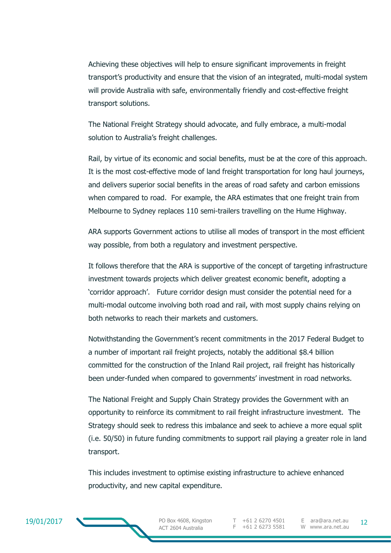Achieving these objectives will help to ensure significant improvements in freight transport's productivity and ensure that the vision of an integrated, multi-modal system will provide Australia with safe, environmentally friendly and cost-effective freight transport solutions.

The National Freight Strategy should advocate, and fully embrace, a multi-modal solution to Australia's freight challenges.

Rail, by virtue of its economic and social benefits, must be at the core of this approach. It is the most cost-effective mode of land freight transportation for long haul journeys, and delivers superior social benefits in the areas of road safety and carbon emissions when compared to road. For example, the ARA estimates that one freight train from Melbourne to Sydney replaces 110 semi-trailers travelling on the Hume Highway.

ARA supports Government actions to utilise all modes of transport in the most efficient way possible, from both a regulatory and investment perspective.

It follows therefore that the ARA is supportive of the concept of targeting infrastructure investment towards projects which deliver greatest economic benefit, adopting a 'corridor approach'. Future corridor design must consider the potential need for a multi-modal outcome involving both road and rail, with most supply chains relying on both networks to reach their markets and customers.

Notwithstanding the Government's recent commitments in the 2017 Federal Budget to a number of important rail freight projects, notably the additional \$8.4 billion committed for the construction of the Inland Rail project, rail freight has historically been under-funded when compared to governments' investment in road networks.

The National Freight and Supply Chain Strategy provides the Government with an opportunity to reinforce its commitment to rail freight infrastructure investment. The Strategy should seek to redress this imbalance and seek to achieve a more equal split (i.e. 50/50) in future funding commitments to support rail playing a greater role in land transport.

This includes investment to optimise existing infrastructure to achieve enhanced productivity, and new capital expenditure.



ACT 2604 Australia

F +61 2 6273 5581

PO Box 4608, Kingston T +61 2 6270 4501 E ara@ara.net.au 12 E ara@ara.net.au W www.ara.net.au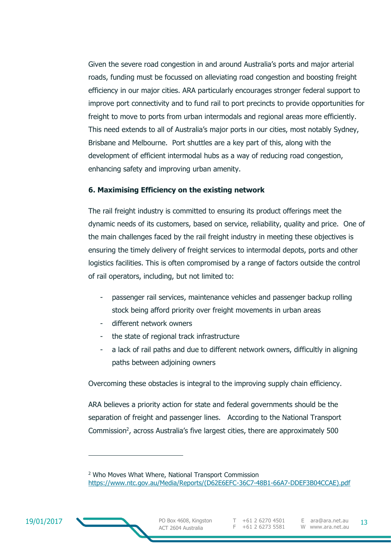Given the severe road congestion in and around Australia's ports and major arterial roads, funding must be focussed on alleviating road congestion and boosting freight efficiency in our major cities. ARA particularly encourages stronger federal support to improve port connectivity and to fund rail to port precincts to provide opportunities for freight to move to ports from urban intermodals and regional areas more efficiently. This need extends to all of Australia's major ports in our cities, most notably Sydney, Brisbane and Melbourne. Port shuttles are a key part of this, along with the development of efficient intermodal hubs as a way of reducing road congestion, enhancing safety and improving urban amenity.

#### **6. Maximising Efficiency on the existing network**

The rail freight industry is committed to ensuring its product offerings meet the dynamic needs of its customers, based on service, reliability, quality and price. One of the main challenges faced by the rail freight industry in meeting these objectives is ensuring the timely delivery of freight services to intermodal depots, ports and other logistics facilities. This is often compromised by a range of factors outside the control of rail operators, including, but not limited to:

- passenger rail services, maintenance vehicles and passenger backup rolling stock being afford priority over freight movements in urban areas
- different network owners
- the state of regional track infrastructure
- a lack of rail paths and due to different network owners, difficultly in aligning paths between adjoining owners

Overcoming these obstacles is integral to the improving supply chain efficiency.

ARA believes a priority action for state and federal governments should be the separation of freight and passenger lines. According to the National Transport Commission<sup>2</sup>, across Australia's five largest cities, there are approximately 500



-

<sup>2</sup> Who Moves What Where, National Transport Commission [https://www.ntc.gov.au/Media/Reports/\(D62E6EFC-36C7-48B1-66A7-DDEF3B04CCAE\).pdf](https://www.ntc.gov.au/Media/Reports/(D62E6EFC-36C7-48B1-66A7-DDEF3B04CCAE).pdf)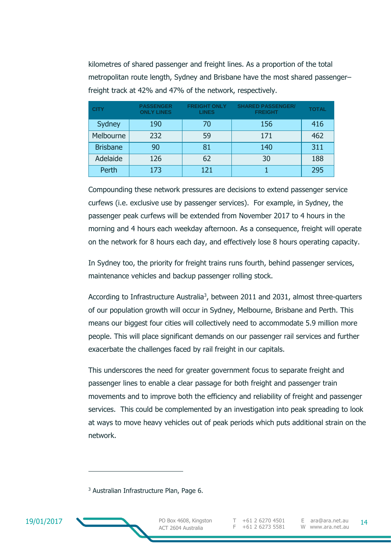kilometres of shared passenger and freight lines. As a proportion of the total metropolitan route length, Sydney and Brisbane have the most shared passenger– freight track at 42% and 47% of the network, respectively.

| <b>CITY</b>     | <b>PASSENGER</b><br><b>ONLY LINES</b> | <b>FREIGHT ONLY</b><br><b>LINES</b> | <b>SHARED PASSENGER/</b><br><b>FREIGHT</b> | <b>TOTAL</b> |
|-----------------|---------------------------------------|-------------------------------------|--------------------------------------------|--------------|
| Sydney          | 190                                   | 70                                  | 156                                        | 416          |
| Melbourne       | 232                                   | 59                                  | 171                                        | 462          |
| <b>Brisbane</b> | 90                                    | 81                                  | 140                                        | 311          |
| Adelaide        | 126                                   | 62                                  | 30                                         | 188          |
| Perth           | 173                                   | 121                                 |                                            | 295          |

Compounding these network pressures are decisions to extend passenger service curfews (i.e. exclusive use by passenger services). For example, in Sydney, the passenger peak curfews will be extended from November 2017 to 4 hours in the morning and 4 hours each weekday afternoon. As a consequence, freight will operate on the network for 8 hours each day, and effectively lose 8 hours operating capacity.

In Sydney too, the priority for freight trains runs fourth, behind passenger services, maintenance vehicles and backup passenger rolling stock.

According to Infrastructure Australia<sup>3</sup>, between 2011 and 2031, almost three-quarters of our population growth will occur in Sydney, Melbourne, Brisbane and Perth. This means our biggest four cities will collectively need to accommodate 5.9 million more people. This will place significant demands on our passenger rail services and further exacerbate the challenges faced by rail freight in our capitals.

This underscores the need for greater government focus to separate freight and passenger lines to enable a clear passage for both freight and passenger train movements and to improve both the efficiency and reliability of freight and passenger services. This could be complemented by an investigation into peak spreading to look at ways to move heavy vehicles out of peak periods which puts additional strain on the network.

<sup>3</sup> Australian Infrastructure Plan, Page 6.



-

T +61 2 6270 4501 F +61 2 6273 5581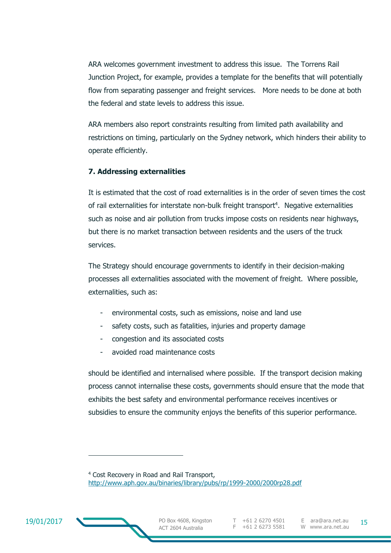ARA welcomes government investment to address this issue. The Torrens Rail Junction Project, for example, provides a template for the benefits that will potentially flow from separating passenger and freight services. More needs to be done at both the federal and state levels to address this issue.

ARA members also report constraints resulting from limited path availability and restrictions on timing, particularly on the Sydney network, which hinders their ability to operate efficiently.

#### **7. Addressing externalities**

It is estimated that the cost of road externalities is in the order of seven times the cost of rail externalities for interstate non-bulk freight transport<sup>4</sup>. Negative externalities such as noise and air pollution from trucks impose costs on residents near highways, but there is no market transaction between residents and the users of the truck services.

The Strategy should encourage governments to identify in their decision-making processes all externalities associated with the movement of freight. Where possible, externalities, such as:

- environmental costs, such as emissions, noise and land use
- safety costs, such as fatalities, injuries and property damage
- congestion and its associated costs
- avoided road maintenance costs

should be identified and internalised where possible. If the transport decision making process cannot internalise these costs, governments should ensure that the mode that exhibits the best safety and environmental performance receives incentives or subsidies to ensure the community enjoys the benefits of this superior performance.



-

<sup>4</sup> Cost Recovery in Road and Rail Transport, <http://www.aph.gov.au/binaries/library/pubs/rp/1999-2000/2000rp28.pdf>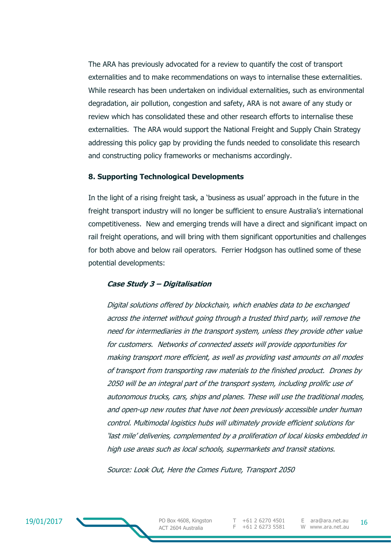The ARA has previously advocated for a review to quantify the cost of transport externalities and to make recommendations on ways to internalise these externalities. While research has been undertaken on individual externalities, such as environmental degradation, air pollution, congestion and safety, ARA is not aware of any study or review which has consolidated these and other research efforts to internalise these externalities. The ARA would support the National Freight and Supply Chain Strategy addressing this policy gap by providing the funds needed to consolidate this research and constructing policy frameworks or mechanisms accordingly.

#### **8. Supporting Technological Developments**

In the light of a rising freight task, a 'business as usual' approach in the future in the freight transport industry will no longer be sufficient to ensure Australia's international competitiveness. New and emerging trends will have a direct and significant impact on rail freight operations, and will bring with them significant opportunities and challenges for both above and below rail operators. Ferrier Hodgson has outlined some of these potential developments:

#### **Case Study 3 – Digitalisation**

Digital solutions offered by blockchain, which enables data to be exchanged across the internet without going through a trusted third party, will remove the need for intermediaries in the transport system, unless they provide other value for customers. Networks of connected assets will provide opportunities for making transport more efficient, as well as providing vast amounts on all modes of transport from transporting raw materials to the finished product. Drones by 2050 will be an integral part of the transport system, including prolific use of autonomous trucks, cars, ships and planes. These will use the traditional modes, and open-up new routes that have not been previously accessible under human control. Multimodal logistics hubs will ultimately provide efficient solutions for 'last mile' deliveries, complemented by a proliferation of local kiosks embedded in high use areas such as local schools, supermarkets and transit stations.

Source: Look Out, Here the Comes Future, Transport 2050

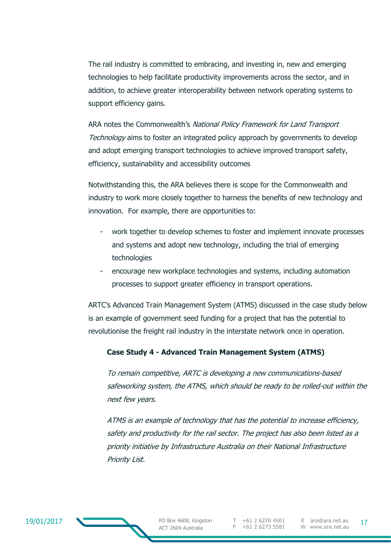The rail industry is committed to embracing, and investing in, new and emerging technologies to help facilitate productivity improvements across the sector, and in addition, to achieve greater interoperability between network operating systems to support efficiency gains.

ARA notes the Commonwealth's National Policy Framework for Land Transport Technology aims to foster an integrated policy approach by governments to develop and adopt emerging transport technologies to achieve improved transport safety, efficiency, sustainability and accessibility outcomes

Notwithstanding this, the ARA believes there is scope for the Commonwealth and industry to work more closely together to harness the benefits of new technology and innovation. For example, there are opportunities to:

- work together to develop schemes to foster and implement innovate processes and systems and adopt new technology, including the trial of emerging technologies
- encourage new workplace technologies and systems, including automation processes to support greater efficiency in transport operations.

ARTC's Advanced Train Management System (ATMS) discussed in the case study below is an example of government seed funding for a project that has the potential to revolutionise the freight rail industry in the interstate network once in operation.

#### **Case Study 4 - Advanced Train Management System (ATMS)**

To remain competitive, ARTC is developing a new communications-based safeworking system, the ATMS, which should be ready to be rolled-out within the next few years.

ATMS is an example of technology that has the potential to increase efficiency, safety and productivity for the rail sector. The project has also been listed as a priority initiative by Infrastructure Australia on their National Infrastructure Priority List.

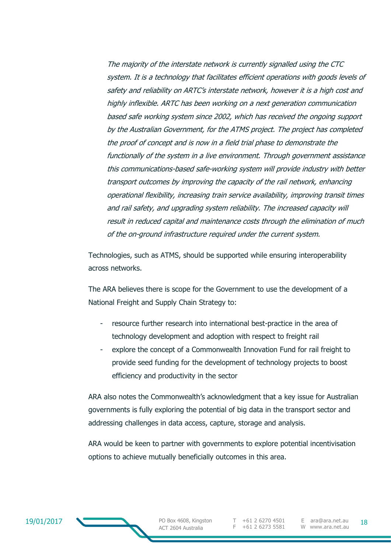The majority of the interstate network is currently signalled using the CTC system. It is a technology that facilitates efficient operations with goods levels of safety and reliability on ARTC's interstate network, however it is a high cost and highly inflexible. ARTC has been working on a next generation communication based safe working system since 2002, which has received the ongoing support by the Australian Government, for the ATMS project. The project has completed the proof of concept and is now in a field trial phase to demonstrate the functionally of the system in a live environment. Through government assistance this communications-based safe-working system will provide industry with better transport outcomes by improving the capacity of the rail network, enhancing operational flexibility, increasing train service availability, improving transit times and rail safety, and upgrading system reliability. The increased capacity will result in reduced capital and maintenance costs through the elimination of much of the on-ground infrastructure required under the current system.

Technologies, such as ATMS, should be supported while ensuring interoperability across networks.

The ARA believes there is scope for the Government to use the development of a National Freight and Supply Chain Strategy to:

- resource further research into international best-practice in the area of technology development and adoption with respect to freight rail
- explore the concept of a Commonwealth Innovation Fund for rail freight to provide seed funding for the development of technology projects to boost efficiency and productivity in the sector

ARA also notes the Commonwealth's acknowledgment that a key issue for Australian governments is fully exploring the potential of big data in the transport sector and addressing challenges in data access, capture, storage and analysis.

ARA would be keen to partner with governments to explore potential incentivisation options to achieve mutually beneficially outcomes in this area.

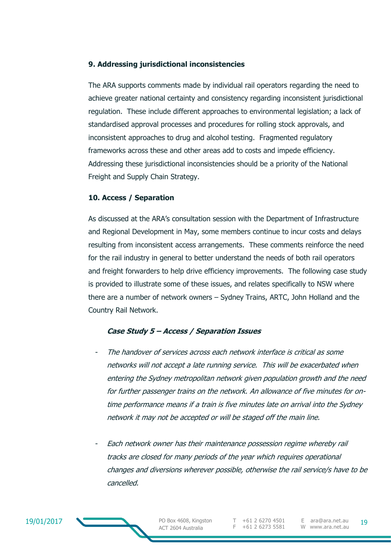#### **9. Addressing jurisdictional inconsistencies**

The ARA supports comments made by individual rail operators regarding the need to achieve greater national certainty and consistency regarding inconsistent jurisdictional regulation. These include different approaches to environmental legislation; a lack of standardised approval processes and procedures for rolling stock approvals, and inconsistent approaches to drug and alcohol testing. Fragmented regulatory frameworks across these and other areas add to costs and impede efficiency. Addressing these jurisdictional inconsistencies should be a priority of the National Freight and Supply Chain Strategy.

#### **10. Access / Separation**

As discussed at the ARA's consultation session with the Department of Infrastructure and Regional Development in May, some members continue to incur costs and delays resulting from inconsistent access arrangements. These comments reinforce the need for the rail industry in general to better understand the needs of both rail operators and freight forwarders to help drive efficiency improvements. The following case study is provided to illustrate some of these issues, and relates specifically to NSW where there are a number of network owners – Sydney Trains, ARTC, John Holland and the Country Rail Network.

#### **Case Study 5 – Access / Separation Issues**

- The handover of services across each network interface is critical as some networks will not accept a late running service. This will be exacerbated when entering the Sydney metropolitan network given population growth and the need for further passenger trains on the network. An allowance of five minutes for ontime performance means if a train is five minutes late on arrival into the Sydney network it may not be accepted or will be staged off the main line.
- Each network owner has their maintenance possession regime whereby rail tracks are closed for many periods of the year which requires operational changes and diversions wherever possible, otherwise the rail service/s have to be cancelled.